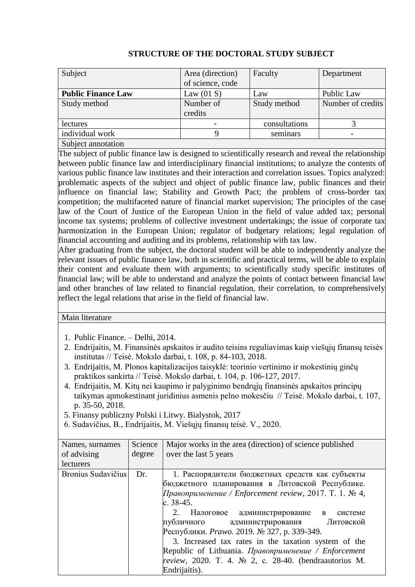| Subject                   | Area (direction) | Faculty       | Department        |
|---------------------------|------------------|---------------|-------------------|
|                           | of science, code |               |                   |
| <b>Public Finance Law</b> | Law $(01 S)$     | Law           | Public Law        |
| Study method              | Number of        | Study method  | Number of credits |
|                           | credits          |               |                   |
| lectures                  |                  | consultations |                   |
| individual work           |                  | seminars      |                   |
| Subject annotation        |                  |               |                   |

## **STRUCTURE OF THE DOCTORAL STUDY SUBJECT**

The subject of public finance law is designed to scientifically research and reveal the relationship between public finance law and interdisciplinary financial institutions; to analyze the contents of various public finance law institutes and their interaction and correlation issues. Topics analyzed: problematic aspects of the subject and object of public finance law, public finances and their influence on financial law; Stability and Growth Pact; the problem of cross-border tax competition; the multifaceted nature of financial market supervision; The principles of the case law of the Court of Justice of the European Union in the field of value added tax; personal income tax systems; problems of collective investment undertakings; the issue of corporate tax harmonization in the European Union; regulator of budgetary relations; legal regulation of financial accounting and auditing and its problems, relationship with tax law.

After graduating from the subject, the doctoral student will be able to independently analyze the relevant issues of public finance law, both in scientific and practical terms, will be able to explain their content and evaluate them with arguments; to scientifically study specific institutes of financial law; will be able to understand and analyze the points of contact between financial law and other branches of law related to financial regulation, their correlation, to comprehensively reflect the legal relations that arise in the field of financial law.

## Main literature

- 1. Public Finance. Delhi, 2014.
- 2. Endrijaitis, M. Finansinės apskaitos ir audito teisins reguliavimas kaip viešųjų finansų teisės institutas // Teisė. Mokslo darbai, t. 108, p. 84-103, 2018.
- 3. Endrijaitis, M. Plonos kapitalizacijos taisyklė: teorinio vertinimo ir mokestinių ginčų praktikos sankirta // Teisė. Mokslo darbai, t. 104, p. 106-127, 2017.
- 4. Endrijaitis, M. Kitų nei kaupimo ir palyginimo bendrųjų finansinės apskaitos principų taikymas apmokestinant juridinius asmenis pelno mokesčiu // Teisė. Mokslo darbai, t. 107, p. 35-50, 2018.
- 5. Finansy publiczny Polski i Litwy. Bialystok, 2017
- 6. Sudavičius, B., Endrijaitis, M. Viešųjų finansų teisė. V., 2020.

| Names, surnames    | Science | Major works in the area (direction) of science published         |  |
|--------------------|---------|------------------------------------------------------------------|--|
| of advising        | degree  | over the last 5 years                                            |  |
| lecturers          |         |                                                                  |  |
| Bronius Sudavičius | Dr.     | 1. Распорядители бюджетных средств как субъекты                  |  |
|                    |         | бюджетного планирования в Литовской Республике.                  |  |
|                    |         | Правоприменение / Enforcement review, 2017. Т. 1. № 4,           |  |
|                    |         | c. $38-45$ .                                                     |  |
|                    |         | 2. Налоговое администрирование в<br>системе                      |  |
|                    |         | Литовской<br>публичного администрирования                        |  |
|                    |         | Республики. <i>Ртамо</i> . 2019. № 327, р. 339-349.              |  |
|                    |         | 3. Increased tax rates in the taxation system of the             |  |
|                    |         | Republic of Lithuania. Правоприменение / Enforcement             |  |
|                    |         | review, 2020. T. 4. $\mathbb{N}$ 2, c. 28-40. (bendraautorius M. |  |
|                    |         | Endrijaitis).                                                    |  |